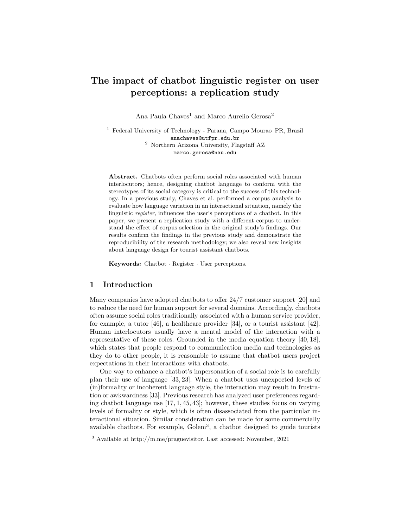# The impact of chatbot linguistic register on user perceptions: a replication study

Ana Paula Chaves<sup>1</sup> and Marco Aurelio Gerosa<sup>2</sup>

<sup>1</sup> Federal University of Technology - Parana, Campo Mourao–PR, Brazil anachaves@utfpr.edu.br  $^2\,$  Northern Arizona University, Flagstaff AZ marco.gerosa@nau.edu

Abstract. Chatbots often perform social roles associated with human interlocutors; hence, designing chatbot language to conform with the stereotypes of its social category is critical to the success of this technology. In a previous study, Chaves et al. performed a corpus analysis to evaluate how language variation in an interactional situation, namely the linguistic register, influences the user's perceptions of a chatbot. In this paper, we present a replication study with a different corpus to understand the effect of corpus selection in the original study's findings. Our results confirm the findings in the previous study and demonstrate the reproducibility of the research methodology; we also reveal new insights about language design for tourist assistant chatbots.

Keywords: Chatbot · Register · User perceptions.

### 1 Introduction

Many companies have adopted chatbots to offer 24/7 customer support [20] and to reduce the need for human support for several domains. Accordingly, chatbots often assume social roles traditionally associated with a human service provider, for example, a tutor [46], a healthcare provider [34], or a tourist assistant [42]. Human interlocutors usually have a mental model of the interaction with a representative of these roles. Grounded in the media equation theory [40, 18], which states that people respond to communication media and technologies as they do to other people, it is reasonable to assume that chatbot users project expectations in their interactions with chatbots.

One way to enhance a chatbot's impersonation of a social role is to carefully plan their use of language [33, 23]. When a chatbot uses unexpected levels of (in)formality or incoherent language style, the interaction may result in frustration or awkwardness [33]. Previous research has analyzed user preferences regarding chatbot language use [17, 1, 45, 43]; however, these studies focus on varying levels of formality or style, which is often disassociated from the particular interactional situation. Similar consideration can be made for some commercially available chatbots. For example, Golem<sup>3</sup>, a chatbot designed to guide tourists

<sup>3</sup> Available at http://m.me/praguevisitor. Last accessed: November, 2021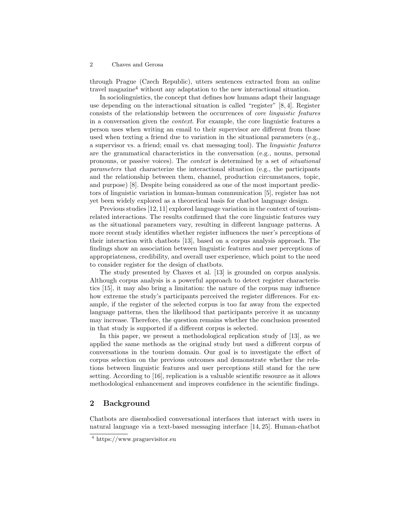through Prague (Czech Republic), utters sentences extracted from an online travel magazine<sup>4</sup> without any adaptation to the new interactional situation.

In sociolinguistics, the concept that defines how humans adapt their language use depending on the interactional situation is called "register" [8, 4]. Register consists of the relationship between the occurrences of core linguistic features in a conversation given the context. For example, the core linguistic features a person uses when writing an email to their supervisor are different from those used when texting a friend due to variation in the situational parameters (e.g., a supervisor vs. a friend; email vs. chat messaging tool). The linguistic features are the grammatical characteristics in the conversation (e.g., nouns, personal pronouns, or passive voices). The context is determined by a set of situational parameters that characterize the interactional situation (e.g., the participants and the relationship between them, channel, production circumstances, topic, and purpose) [8]. Despite being considered as one of the most important predictors of linguistic variation in human-human communication [5], register has not yet been widely explored as a theoretical basis for chatbot language design.

Previous studies [12, 11] explored language variation in the context of tourismrelated interactions. The results confirmed that the core linguistic features vary as the situational parameters vary, resulting in different language patterns. A more recent study identifies whether register influences the user's perceptions of their interaction with chatbots [13], based on a corpus analysis approach. The findings show an association between linguistic features and user perceptions of appropriateness, credibility, and overall user experience, which point to the need to consider register for the design of chatbots.

The study presented by Chaves et al. [13] is grounded on corpus analysis. Although corpus analysis is a powerful approach to detect register characteristics [15], it may also bring a limitation: the nature of the corpus may influence how extreme the study's participants perceived the register differences. For example, if the register of the selected corpus is too far away from the expected language patterns, then the likelihood that participants perceive it as uncanny may increase. Therefore, the question remains whether the conclusion presented in that study is supported if a different corpus is selected.

In this paper, we present a methodological replication study of [13], as we applied the same methods as the original study but used a different corpus of conversations in the tourism domain. Our goal is to investigate the effect of corpus selection on the previous outcomes and demonstrate whether the relations between linguistic features and user perceptions still stand for the new setting. According to [16], replication is a valuable scientific resource as it allows methodological enhancement and improves confidence in the scientific findings.

# 2 Background

Chatbots are disembodied conversational interfaces that interact with users in natural language via a text-based messaging interface [14, 25]. Human-chatbot

<sup>4</sup> https://www.praguevisitor.eu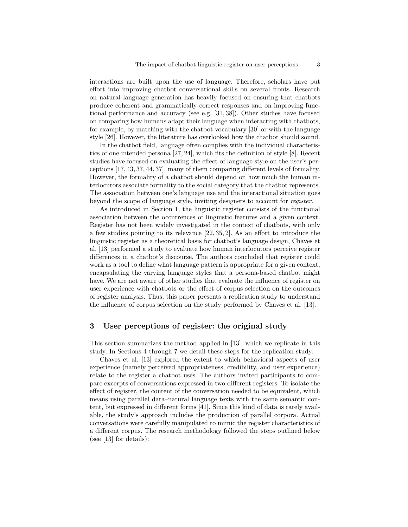interactions are built upon the use of language. Therefore, scholars have put effort into improving chatbot conversational skills on several fronts. Research on natural language generation has heavily focused on ensuring that chatbots produce coherent and grammatically correct responses and on improving functional performance and accuracy (see e.g. [31, 38]). Other studies have focused on comparing how humans adapt their language when interacting with chatbots, for example, by matching with the chatbot vocabulary [30] or with the language style [26]. However, the literature has overlooked how the chatbot should sound.

In the chatbot field, language often complies with the individual characteristics of one intended persona [27, 24], which fits the definition of style [8]. Recent studies have focused on evaluating the effect of language style on the user's perceptions [17, 43, 37, 44, 37], many of them comparing different levels of formality. However, the formality of a chatbot should depend on how much the human interlocutors associate formality to the social category that the chatbot represents. The association between one's language use and the interactional situation goes beyond the scope of language style, inviting designers to account for register.

As introduced in Section 1, the linguistic register consists of the functional association between the occurrences of linguistic features and a given context. Register has not been widely investigated in the context of chatbots, with only a few studies pointing to its relevance [22, 35, 2]. As an effort to introduce the linguistic register as a theoretical basis for chatbot's language design, Chaves et al. [13] performed a study to evaluate how human interlocutors perceive register differences in a chatbot's discourse. The authors concluded that register could work as a tool to define what language pattern is appropriate for a given context, encapsulating the varying language styles that a persona-based chatbot might have. We are not aware of other studies that evaluate the influence of register on user experience with chatbots or the effect of corpus selection on the outcomes of register analysis. Thus, this paper presents a replication study to understand the influence of corpus selection on the study performed by Chaves et al. [13].

## 3 User perceptions of register: the original study

This section summarizes the method applied in [13], which we replicate in this study. In Sections 4 through 7 we detail these steps for the replication study.

Chaves et al. [13] explored the extent to which behavioral aspects of user experience (namely perceived appropriateness, credibility, and user experience) relate to the register a chatbot uses. The authors invited participants to compare excerpts of conversations expressed in two different registers. To isolate the effect of register, the content of the conversation needed to be equivalent, which means using parallel data–natural language texts with the same semantic content, but expressed in different forms [41]. Since this kind of data is rarely available, the study's approach includes the production of parallel corpora. Actual conversations were carefully manipulated to mimic the register characteristics of a different corpus. The research methodology followed the steps outlined below (see [13] for details):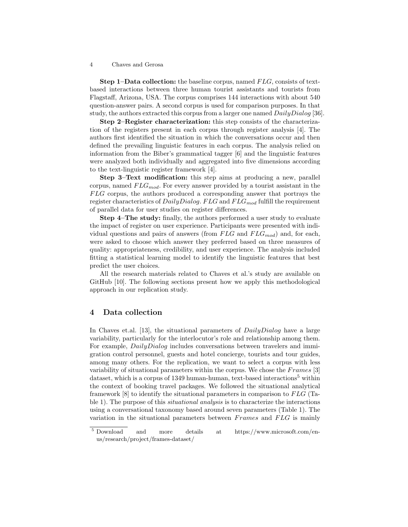**Step 1–Data collection:** the baseline corpus, named  $FLG$ , consists of textbased interactions between three human tourist assistants and tourists from Flagstaff, Arizona, USA. The corpus comprises 144 interactions with about 540 question-answer pairs. A second corpus is used for comparison purposes. In that study, the authors extracted this corpus from a larger one named  $DailyDialog$  [36].

Step 2–Register characterization: this step consists of the characterization of the registers present in each corpus through register analysis [4]. The authors first identified the situation in which the conversations occur and then defined the prevailing linguistic features in each corpus. The analysis relied on information from the Biber's grammatical tagger [6] and the linguistic features were analyzed both individually and aggregated into five dimensions according to the text-linguistic register framework [4].

Step 3–Text modification: this step aims at producing a new, parallel corpus, named  $FLG_{mod}$ . For every answer provided by a tourist assistant in the FLG corpus, the authors produced a corresponding answer that portrays the register characteristics of  $DailyDialog$ . FLG and  $FIG_{mod}$  fulfill the requirement of parallel data for user studies on register differences.

Step 4–The study: finally, the authors performed a user study to evaluate the impact of register on user experience. Participants were presented with individual questions and pairs of answers (from  $FLG$  and  $FLG_{mod}$ ) and, for each, were asked to choose which answer they preferred based on three measures of quality: appropriateness, credibility, and user experience. The analysis included fitting a statistical learning model to identify the linguistic features that best predict the user choices.

All the research materials related to Chaves et al.'s study are available on GitHub [10]. The following sections present how we apply this methodological approach in our replication study.

#### 4 Data collection

In Chaves et.al. [13], the situational parameters of  $DailyDialog$  have a large variability, particularly for the interlocutor's role and relationship among them. For example,  $DailyDialog$  includes conversations between travelers and immigration control personnel, guests and hotel concierge, tourists and tour guides, among many others. For the replication, we want to select a corpus with less variability of situational parameters within the corpus. We chose the  $F$ *rames* [3] dataset, which is a corpus of  $1349$  human-human, text-based interactions<sup>5</sup> within the context of booking travel packages. We followed the situational analytical framework  $[8]$  to identify the situational parameters in comparison to  $FLG$  (Table 1). The purpose of this *situational analysis* is to characterize the interactions using a conversational taxonomy based around seven parameters (Table 1). The variation in the situational parameters between  $F$  rames and  $FLG$  is mainly

<sup>5</sup> Download and more details at https://www.microsoft.com/enus/research/project/frames-dataset/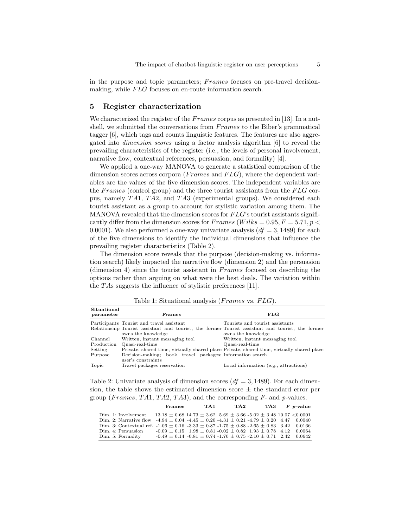in the purpose and topic parameters; Frames focuses on pre-travel decisionmaking, while FLG focuses on en-route information search.

### 5 Register characterization

We characterized the register of the Frames corpus as presented in [13]. In a nutshell, we submitted the conversations from Frames to the Biber's grammatical tagger [6], which tags and counts linguistic features. The features are also aggregated into dimension scores using a factor analysis algorithm [6] to reveal the prevailing characteristics of the register (i.e., the levels of personal involvement, narrative flow, contextual references, persuasion, and formality) [4].

We applied a one-way MANOVA to generate a statistical comparison of the dimension scores across corpora ( $F$ *rames* and  $FLG$ ), where the dependent variables are the values of the five dimension scores. The independent variables are the Frames (control group) and the three tourist assistants from the  $FLG$  corpus, namely  $TA1$ ,  $TA2$ , and  $TA3$  (experimental groups). We considered each tourist assistant as a group to account for stylistic variation among them. The MANOVA revealed that the dimension scores for  $FLG$ 's tourist assistants significantly differ from the dimension scores for  $F$ *rames* (Wilks = 0.95,  $F = 5.71$ ,  $p <$ 0.0001). We also performed a one-way univariate analysis  $(df = 3, 1489)$  for each of the five dimensions to identify the individual dimensions that influence the prevailing register characteristics (Table 2).

The dimension score reveals that the purpose (decision-making vs. information search) likely impacted the narrative flow (dimension 2) and the persuasion (dimension 4) since the tourist assistant in  $F$ *rames* focused on describing the options rather than arguing on what were the best deals. The variation within the TAs suggests the influence of stylistic preferences [11].

| Situational<br>parameter | <b>Frames</b>                                                                                                          | <b>FLG</b>                                                                                |
|--------------------------|------------------------------------------------------------------------------------------------------------------------|-------------------------------------------------------------------------------------------|
|                          | Participants Tourist and travel assistant                                                                              | Tourists and tourist assistants                                                           |
|                          | Relationship Tourist assistant and tourist, the former Tourist assistant and tourist, the former<br>owns the knowledge | owns the knowledge                                                                        |
| Channel                  | Written, instant messaging tool                                                                                        | Written, instant messaging tool                                                           |
| Production               | Quasi-real-time                                                                                                        | Quasi-real-time                                                                           |
| Setting                  |                                                                                                                        | Private, shared time, virtually shared place Private, shared time, virtually shared place |
| Purpose                  | Decision-making; book travel packages; Information search<br>user's constraints                                        |                                                                                           |
| Topic                    | Travel packages reservation                                                                                            | Local information (e.g., attractions)                                                     |
|                          |                                                                                                                        |                                                                                           |

Table 1: Situational analysis ( $F$ *rames* vs.  $FLG$ ).

Table 2: Univariate analysis of dimension scores  $(df = 3, 1489)$ . For each dimension, the table shows the estimated dimension score  $\pm$  the standard error per group (*Frames*, TA1, TA2, TA3), and the corresponding  $F$ - and p-values.

|                                                                                                     | <b>Frames</b>                                                                       | TA 1                                                                            | TA <sub>2</sub> | TA3 | $F$ <i>p</i> -value |
|-----------------------------------------------------------------------------------------------------|-------------------------------------------------------------------------------------|---------------------------------------------------------------------------------|-----------------|-----|---------------------|
| Dim. 1: Involvement                                                                                 | $13.18 \pm 0.68$ $14.73 \pm 3.62$ $5.69 \pm 3.66$ $-5.02 \pm 3.48$ $10.07 < 0.0001$ |                                                                                 |                 |     |                     |
| Dim. 2: Narrative flow $-4.94 \pm 0.04 -4.45 \pm 0.20 -4.31 \pm 0.21 -4.79 \pm 0.20$ 4.47 0.0040    |                                                                                     |                                                                                 |                 |     |                     |
| Dim. 3: Contextual ref. $-1.06 \pm 0.16 -3.33 \pm 0.87 -1.75 \pm 0.88 -2.65 \pm 0.83 -3.42 -0.0166$ |                                                                                     |                                                                                 |                 |     |                     |
| Dim. 4: Persuasion                                                                                  |                                                                                     | $-0.09 \pm 0.15$ 1.98 $\pm$ 0.81 $-0.02 \pm 0.82$ 1.93 $\pm$ 0.78 4.12          |                 |     | 0.0064              |
| Dim. 5: Formality                                                                                   |                                                                                     | $-0.49 \pm 0.14$ $-0.81 \pm 0.74$ $-1.70 \pm 0.75$ $-2.10 \pm 0.71$ 2.42 0.0642 |                 |     |                     |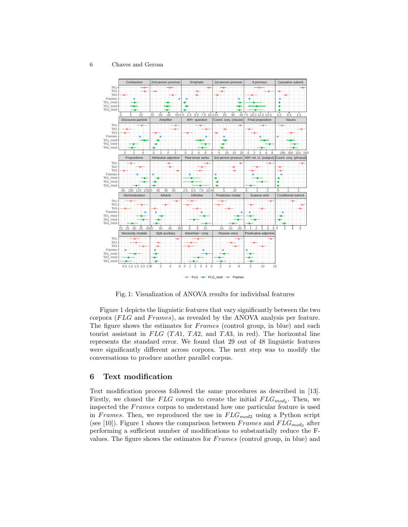

Fig. 1: Visualization of ANOVA results for individual features

Figure 1 depicts the linguistic features that vary significantly between the two corpora  $(FLG$  and  $Frames)$ , as revealed by the ANOVA analysis per feature. The figure shows the estimates for Frames (control group, in blue) and each tourist assistant in FLG  $(TA1, TA2, and TA3, in red)$ . The horizontal line represents the standard error. We found that 29 out of 48 linguistic features were significantly different across corpora. The next step was to modify the conversations to produce another parallel corpus.

# 6 Text modification

Text modification process followed the same procedures as described in [13]. Firstly, we cloned the  $FLG$  corpus to create the initial  $FLG_{mod_2}$ . Then, we inspected the Frames corpus to understand how one particular feature is used in Frames. Then, we reproduced the use in  $FLG_{mod2}$  using a Python script (see [10]). Figure 1 shows the comparison between  $F$ *rames* and  $FLG_{mod_2}$  after performing a sufficient number of modifications to substantially reduce the Fvalues. The figure shows the estimates for  $F$ *rames* (control group, in blue) and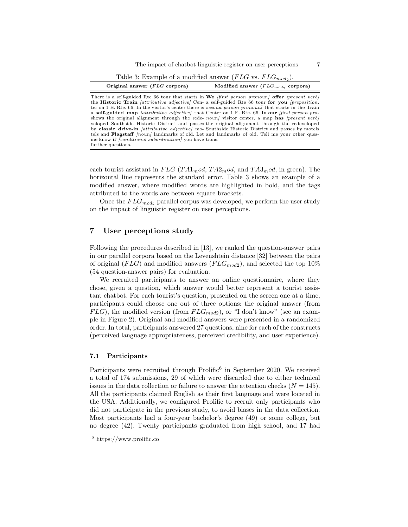Table 3: Example of a modified answer ( $FLG$  vs.  $FLG_{mod_2}$ ).

| There is a self-guided Rte 66 tour that starts in We <i>first person pronoun</i> offer <i>present verb</i><br>the Historic Train <i>fattributive adjective</i> Cen- a self-guided Rte 66 tour for you <i>preposition</i> ,<br>ter on 1 E. Rte. 66. In the visitor's center there is second person pronound that starts in the Train<br>a self-guided map <i>[attributive adjective]</i> that Center on 1 E. Rte. 66. In our <i>first person pro-</i><br>shows the original alignment through the rede- noun/ visitor center, a map has <i>[present verb]</i><br>veloped Southside Historic District and passes the original alignment through the redeveloped<br>by classic drive-in <i>(attributive adjective)</i> mo- Southside Historic District and passes by motels<br>tels and Flagstaff <i>[noun]</i> landmarks of old. Let and landmarks of old. Tell me your other ques-<br>me know if <i>[conditional subordination]</i> you have tions. |
|----------------------------------------------------------------------------------------------------------------------------------------------------------------------------------------------------------------------------------------------------------------------------------------------------------------------------------------------------------------------------------------------------------------------------------------------------------------------------------------------------------------------------------------------------------------------------------------------------------------------------------------------------------------------------------------------------------------------------------------------------------------------------------------------------------------------------------------------------------------------------------------------------------------------------------------------------|

each tourist assistant in  $FLG (T A1<sub>m</sub>od, TA2<sub>m</sub>od, and TA3<sub>m</sub>od, in green)$ . The horizontal line represents the standard error. Table 3 shows an example of a modified answer, where modified words are highlighted in bold, and the tags attributed to the words are between square brackets.

Once the  $FLG_{mod_2}$  parallel corpus was developed, we perform the user study on the impact of linguistic register on user perceptions.

### 7 User perceptions study

Following the procedures described in [13], we ranked the question-answer pairs in our parallel corpora based on the Levenshtein distance [32] between the pairs of original (*FLG*) and modified answers (*FLG<sub>mod2</sub>*), and selected the top 10% (54 question-answer pairs) for evaluation.

We recruited participants to answer an online questionnaire, where they chose, given a question, which answer would better represent a tourist assistant chatbot. For each tourist's question, presented on the screen one at a time, participants could choose one out of three options: the original answer (from  $FLG$ ), the modified version (from  $FLG_{mod2}$ ), or "I don't know" (see an example in Figure 2). Original and modified answers were presented in a randomized order. In total, participants answered 27 questions, nine for each of the constructs (perceived language appropriateness, perceived credibility, and user experience).

#### 7.1 Participants

Participants were recruited through Prolific<sup>6</sup> in September 2020. We received a total of 174 submissions, 29 of which were discarded due to either technical issues in the data collection or failure to answer the attention checks  $(N = 145)$ . All the participants claimed English as their first language and were located in the USA. Additionally, we configured Prolific to recruit only participants who did not participate in the previous study, to avoid biases in the data collection. Most participants had a four-year bachelor's degree (49) or some college, but no degree (42). Twenty participants graduated from high school, and 17 had

 $6 \text{ https://www.prolific.co}$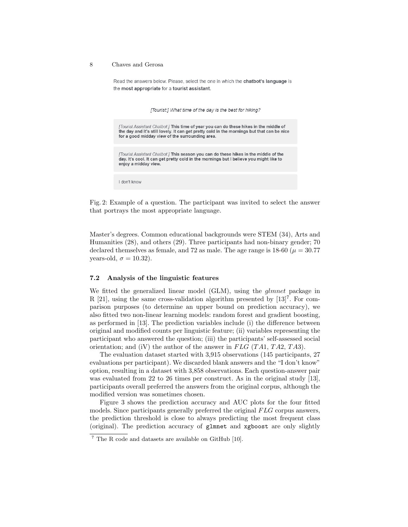Read the answers below. Please, select the one in which the chatbot's language is the most appropriate for a tourist assistant.

[Tourist:] What time of the day is the best for hiking?



Fig. 2: Example of a question. The participant was invited to select the answer that portrays the most appropriate language.

Master's degrees. Common educational backgrounds were STEM (34), Arts and Humanities (28), and others (29). Three participants had non-binary gender; 70 declared themselves as female, and 72 as male. The age range is  $18-60$  ( $\mu = 30.77$ ) years-old,  $\sigma = 10.32$ ).

#### 7.2 Analysis of the linguistic features

We fitted the generalized linear model (GLM), using the *glmnet* package in R [21], using the same cross-validation algorithm presented by  $[13]^{7}$ . For comparison purposes (to determine an upper bound on prediction accuracy), we also fitted two non-linear learning models: random forest and gradient boosting, as performed in [13]. The prediction variables include (i) the difference between original and modified counts per linguistic feature; (ii) variables representing the participant who answered the question; (iii) the participants' self-assessed social orientation; and (iV) the author of the answer in  $FLG$  (TA1, TA2, TA3).

The evaluation dataset started with 3,915 observations (145 participants, 27 evaluations per participant). We discarded blank answers and the "I don't know" option, resulting in a dataset with 3,858 observations. Each question-answer pair was evaluated from 22 to 26 times per construct. As in the original study [13], participants overall preferred the answers from the original corpus, although the modified version was sometimes chosen.

Figure 3 shows the prediction accuracy and AUC plots for the four fitted models. Since participants generally preferred the original FLG corpus answers, the prediction threshold is close to always predicting the most frequent class (original). The prediction accuracy of glmnet and xgboost are only slightly

 $\overline{7}$  The R code and datasets are available on GitHub [10].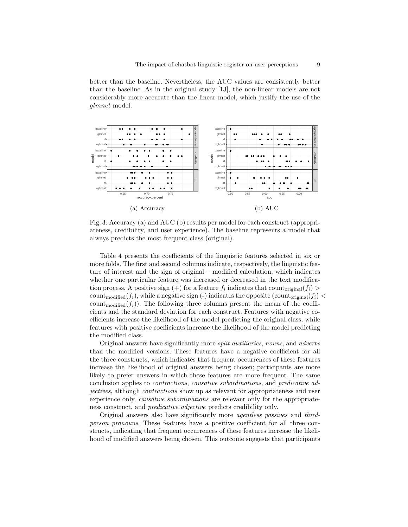better than the baseline. Nevertheless, the AUC values are consistently better than the baseline. As in the original study [13], the non-linear models are not considerably more accurate than the linear model, which justify the use of the glmnet model.



Fig. 3: Accuracy (a) and AUC (b) results per model for each construct (appropriateness, credibility, and user experience). The baseline represents a model that always predicts the most frequent class (original).

Table 4 presents the coefficients of the linguistic features selected in six or more folds. The first and second columns indicate, respectively, the linguistic feature of interest and the sign of original − modified calculation, which indicates whether one particular feature was increased or decreased in the text modification process. A positive sign (+) for a feature  $f_i$  indicates that count<sub>original</sub>  $(f_i)$ count<sub>modified</sub>( $f_i$ ), while a negative sign (-) indicates the opposite (count<sub>original</sub>( $f_i$ ) < count<sub>modified</sub> $(f_i)$ ). The following three columns present the mean of the coefficients and the standard deviation for each construct. Features with negative coefficients increase the likelihood of the model predicting the original class, while features with positive coefficients increase the likelihood of the model predicting the modified class.

Original answers have significantly more split auxiliaries, nouns, and adverbs than the modified versions. These features have a negative coefficient for all the three constructs, which indicates that frequent occurrences of these features increase the likelihood of original answers being chosen; participants are more likely to prefer answers in which these features are more frequent. The same conclusion applies to contractions, causative subordinations, and predicative adjectives, although *contractions* show up as relevant for appropriateness and user experience only, causative subordinations are relevant only for the appropriateness construct, and predicative adjective predicts credibility only.

Original answers also have significantly more agentless passives and thirdperson pronouns. These features have a positive coefficient for all three constructs, indicating that frequent occurrences of these features increase the likelihood of modified answers being chosen. This outcome suggests that participants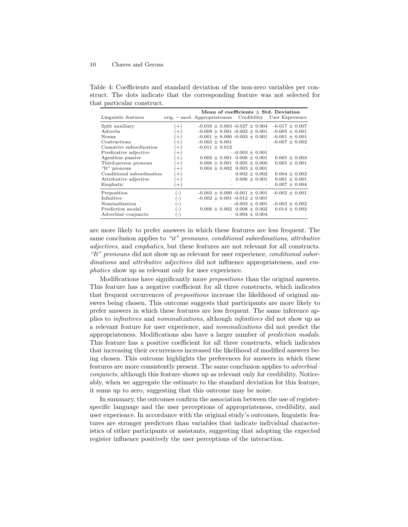Table 4: Coefficients and standard deviation of the non-zero variables per construct. The dots indicate that the corresponding feature was not selected for that particular construct.

| Linguistic features       |                          | orig. – mod. Appropriateness Credibility | Mean of coefficients $\pm$ Std. Deviation | User Experience    |
|---------------------------|--------------------------|------------------------------------------|-------------------------------------------|--------------------|
| Split auxiliary           | $(+)$                    |                                          | $-0.010 \pm 0.003 - 0.027 \pm 0.004$      | $-0.017 + 0.007$   |
| Adverbs                   | $^{+)}$                  |                                          | $-0.009 \pm 0.001 - 0.002 \pm 0.001$      | $-0.005 \pm 0.001$ |
| <b>Nouns</b>              | $^{+}$                   |                                          | $-0.001 \pm 0.000 - 0.003 \pm 0.001$      | $-0.001 \pm 0.001$ |
| Contractions              | $^{+}$                   | $-0.003 \pm 0.001$                       | $\cdot$                                   | $-0.007 \pm 0.002$ |
| Causative subordination   | $^{+}$                   | $-0.011 \pm 0.012$                       |                                           |                    |
| Predicative adjective     | $^{+}$                   |                                          | $-0.003 + 0.001$                          |                    |
| Agentless passive         | $^{+)}$                  |                                          | $0.002 \pm 0.001$ $0.006 \pm 0.001$       | $0.005 \pm 0.003$  |
| Third-person pronoun      | $^{+)}$                  |                                          | $0.006 \pm 0.001$ $0.005 \pm 0.000$       | $0.005 \pm 0.001$  |
| "It" pronoun              | $^{+}$                   |                                          | $0.004 \pm 0.002$ $0.003 \pm 0.001$       |                    |
| Conditional subordination | $^{(+)}$                 | $\ddot{\phantom{0}}$                     | $0.002 \pm 0.002$                         | $0.004 \pm 0.002$  |
| Attributive adjective     | $^{+}$                   | $\ddot{\phantom{0}}$                     | $0.006 \pm 0.001$                         | $0.001 \pm 0.001$  |
| Emphatic                  | $(+)$                    |                                          |                                           | $0.007 \pm 0.004$  |
| Preposition               | F                        |                                          | $-0.003 \pm 0.000 - 0.001 \pm 0.001$      | $-0.002 \pm 0.001$ |
| Infinitive                | -                        |                                          | $-0.002 \pm 0.001 - 0.012 \pm 0.001$      |                    |
| Nominalization            | $\overline{\phantom{0}}$ |                                          | $-0.003 \pm 0.001$                        | $-0.003 \pm 0.002$ |
| Prediction modal          | -1                       |                                          | $0.008 \pm 0.002$ $0.008 \pm 0.002$       | $0.014 \pm 0.002$  |
| Adverbial-conjuncts       | $\overline{\phantom{0}}$ |                                          | $0.004 \pm 0.004$                         |                    |

are more likely to prefer answers in which these features are less frequent. The same conclusion applies to "it" pronouns, conditional subordinations, attributive adjectives, and emphatics, but these features are not relevant for all constructs. "It" pronouns did not show up as relevant for user experience, conditional subordinations and *attributive adjectives* did not influence appropriateness, and *em*phatics show up as relevant only for user experience.

Modifications have significantly more prepositions than the original answers. This feature has a negative coefficient for all three constructs, which indicates that frequent occurrences of prepositions increase the likelihood of original answers being chosen. This outcome suggests that participants are more likely to prefer answers in which these features are less frequent. The same inference applies to infinitives and nominalizations, although infinitives did not show up as a relevant feature for user experience, and nominalizations did not predict the appropriateness. Modifications also have a larger number of prediction modals. This feature has a positive coefficient for all three constructs, which indicates that increasing their occurrences increased the likelihood of modified answers being chosen. This outcome highlights the preferences for answers in which these features are more consistently present. The same conclusion applies to adverbial– conjuncts, although this feature shows up as relevant only for credibility. Noticeably, when we aggregate the estimate to the standard deviation for this feature, it sums up to zero, suggesting that this outcome may be noise.

In summary, the outcomes confirm the association between the use of registerspecific language and the user perceptions of appropriateness, credibility, and user experience. In accordance with the original study's outcomes, linguistic features are stronger predictors than variables that indicate individual characteristics of either participants or assistants, suggesting that adopting the expected register influence positively the user perceptions of the interaction.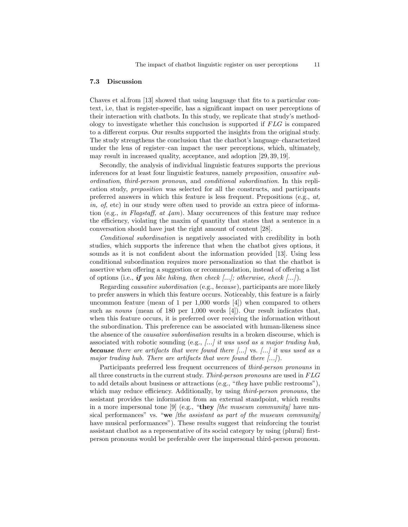#### 7.3 Discussion

Chaves et al.from [13] showed that using language that fits to a particular context, i.e, that is register-specific, has a significant impact on user perceptions of their interaction with chatbots. In this study, we replicate that study's methodology to investigate whether this conclusion is supported if  $FLG$  is compared to a different corpus. Our results supported the insights from the original study. The study strengthens the conclusion that the chatbot's language–characterized under the lens of register–can impact the user perceptions, which, ultimately, may result in increased quality, acceptance, and adoption [29, 39, 19].

Secondly, the analysis of individual linguistic features supports the previous inferences for at least four linguistic features, namely preposition, causative subordination, third-person pronoun, and conditional subordination. In this replication study, preposition was selected for all the constructs, and participants preferred answers in which this feature is less frequent. Prepositions (e.g., at, in, of, etc) in our study were often used to provide an extra piece of information (e.g., in Flagstaff, at 4am). Many occurrences of this feature may reduce the efficiency, violating the maxim of quantity that states that a sentence in a conversation should have just the right amount of content [28].

Conditional subordination is negatively associated with credibility in both studies, which supports the inference that when the chatbot gives options, it sounds as it is not confident about the information provided [13]. Using less conditional subordination requires more personalization so that the chatbot is assertive when offering a suggestion or recommendation, instead of offering a list of options (i.e., if you like hiking, then check  $(...)$ ; otherwise, check  $(...)$ .

Regarding causative subordination (e.g., because), participants are more likely to prefer answers in which this feature occurs. Noticeably, this feature is a fairly uncommon feature (mean of 1 per 1,000 words [4]) when compared to others such as nouns (mean of 180 per 1,000 words [4]). Our result indicates that, when this feature occurs, it is preferred over receiving the information without the subordination. This preference can be associated with human-likeness since the absence of the causative subordination results in a broken discourse, which is associated with robotic sounding (e.g.,  $\ldots$ ) it was used as a major trading hub, **because** there are artifacts that were found there  $\left[\ldots\right]$  vs.  $\left[\ldots\right]$  it was used as a major trading hub. There are artifacts that were found there  $(...)$ .

Participants preferred less frequent occurrences of third-person pronouns in all three constructs in the current study. Third-person pronouns are used in FLG to add details about business or attractions (e.g., "they have public restrooms"), which may reduce efficiency. Additionally, by using *third-person pronouns*, the assistant provides the information from an external standpoint, which results in a more impersonal tone [9] (e.g., "they *[the museum community]* have musical performances" vs. "we *[the assistant as part of the museum community]* have musical performances"). These results suggest that reinforcing the tourist assistant chatbot as a representative of its social category by using (plural) firstperson pronouns would be preferable over the impersonal third-person pronoun.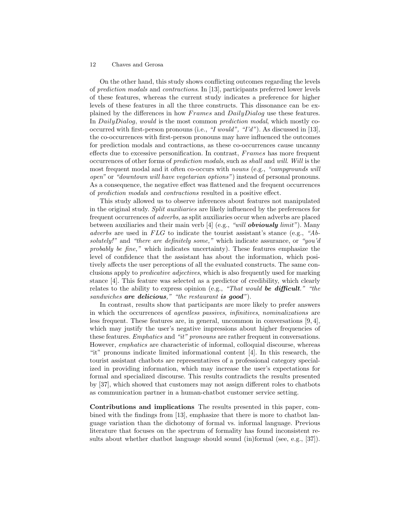On the other hand, this study shows conflicting outcomes regarding the levels of prediction modals and contractions. In [13], participants preferred lower levels of these features, whereas the current study indicates a preference for higher levels of these features in all the three constructs. This dissonance can be explained by the differences in how Frames and DailyDialog use these features. In *DailyDialog*, would is the most common *prediction modal*, which mostly cooccurred with first-person pronouns (i.e., "I would", "I'd"). As discussed in [13], the co-occurrences with first-person pronouns may have influenced the outcomes for prediction modals and contractions, as these co-occurrences cause uncanny effects due to excessive personification. In contrast, Frames has more frequent occurrences of other forms of prediction modals, such as shall and will. Will is the most frequent modal and it often co-occurs with nouns (e.g., "campgrounds will open" or "downtown will have vegetarian options") instead of personal pronouns. As a consequence, the negative effect was flattened and the frequent occurrences of prediction modals and contractions resulted in a positive effect.

This study allowed us to observe inferences about features not manipulated in the original study. Split auxiliaries are likely influenced by the preferences for frequent occurrences of adverbs, as split auxiliaries occur when adverbs are placed between auxiliaries and their main verb [4] (e.g., "will **obviously** limit"). Many adverbs are used in  $FLG$  to indicate the tourist assistant's stance (e.g., "Absolutely!" and "there are definitely some," which indicate assurance, or "you'd probably be fine," which indicates uncertainty). These features emphasize the level of confidence that the assistant has about the information, which positively affects the user perceptions of all the evaluated constructs. The same conclusions apply to predicative adjectives, which is also frequently used for marking stance [4]. This feature was selected as a predictor of credibility, which clearly relates to the ability to express opinion (e.g., "That would be difficult." "the sandwiches are delicious," "the restaurant is good").

In contrast, results show that participants are more likely to prefer answers in which the occurrences of agentless passives, infinitives, nominalizations are less frequent. These features are, in general, uncommon in conversations [9, 4], which may justify the user's negative impressions about higher frequencies of these features. Emphatics and "it" pronouns are rather frequent in conversations. However, emphatics are characteristic of informal, colloquial discourse, whereas "it" pronouns indicate limited informational content [4]. In this research, the tourist assistant chatbots are representatives of a professional category specialized in providing information, which may increase the user's expectations for formal and specialized discourse. This results contradicts the results presented by [37], which showed that customers may not assign different roles to chatbots as communication partner in a human-chatbot customer service setting.

Contributions and implications The results presented in this paper, combined with the findings from [13], emphasize that there is more to chatbot language variation than the dichotomy of formal vs. informal language. Previous literature that focuses on the spectrum of formality has found inconsistent results about whether chatbot language should sound (in)formal (see, e.g., [37]).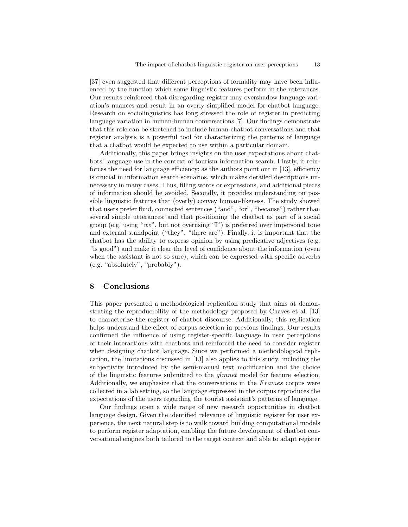[37] even suggested that different perceptions of formality may have been influenced by the function which some linguistic features perform in the utterances. Our results reinforced that disregarding register may overshadow language variation's nuances and result in an overly simplified model for chatbot language. Research on sociolinguistics has long stressed the role of register in predicting language variation in human-human conversations [7]. Our findings demonstrate that this role can be stretched to include human-chatbot conversations and that register analysis is a powerful tool for characterizing the patterns of language that a chatbot would be expected to use within a particular domain.

Additionally, this paper brings insights on the user expectations about chatbots' language use in the context of tourism information search. Firstly, it reinforces the need for language efficiency; as the authors point out in [13], efficiency is crucial in information search scenarios, which makes detailed descriptions unnecessary in many cases. Thus, filling words or expressions, and additional pieces of information should be avoided. Secondly, it provides understanding on possible linguistic features that (overly) convey human-likeness. The study showed that users prefer fluid, connected sentences ("and", "or", "because") rather than several simple utterances; and that positioning the chatbot as part of a social group (e.g. using "we", but not overusing "I") is preferred over impersonal tone and external standpoint ("they", "there are"). Finally, it is important that the chatbot has the ability to express opinion by using predicative adjectives (e.g. "is good") and make it clear the level of confidence about the information (even when the assistant is not so sure), which can be expressed with specific adverbs (e.g. "absolutely", "probably").

### 8 Conclusions

This paper presented a methodological replication study that aims at demonstrating the reproducibility of the methodology proposed by Chaves et al. [13] to characterize the register of chatbot discourse. Additionally, this replication helps understand the effect of corpus selection in previous findings. Our results confirmed the influence of using register-specific language in user perceptions of their interactions with chatbots and reinforced the need to consider register when designing chatbot language. Since we performed a methodological replication, the limitations discussed in [13] also applies to this study, including the subjectivity introduced by the semi-manual text modification and the choice of the linguistic features submitted to the glmnet model for feature selection. Additionally, we emphasize that the conversations in the  $F$  rames corpus were collected in a lab setting, so the language expressed in the corpus reproduces the expectations of the users regarding the tourist assistant's patterns of language.

Our findings open a wide range of new research opportunities in chatbot language design. Given the identified relevance of linguistic register for user experience, the next natural step is to walk toward building computational models to perform register adaptation, enabling the future development of chatbot conversational engines both tailored to the target context and able to adapt register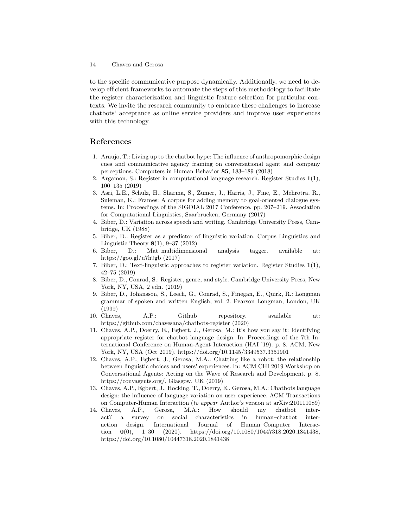to the specific communicative purpose dynamically. Additionally, we need to develop efficient frameworks to automate the steps of this methodology to facilitate the register characterization and linguistic feature selection for particular contexts. We invite the research community to embrace these challenges to increase chatbots' acceptance as online service providers and improve user experiences with this technology.

## References

- 1. Araujo, T.: Living up to the chatbot hype: The influence of anthropomorphic design cues and communicative agency framing on conversational agent and company perceptions. Computers in Human Behavior 85, 183–189 (2018)
- 2. Argamon, S.: Register in computational language research. Register Studies 1(1), 100–135 (2019)
- 3. Asri, L.E., Schulz, H., Sharma, S., Zumer, J., Harris, J., Fine, E., Mehrotra, R., Suleman, K.: Frames: A corpus for adding memory to goal-oriented dialogue systems. In: Proceedings of the SIGDIAL 2017 Conference. pp. 207–219. Association for Computational Linguistics, Saarbrucken, Germany (2017)
- 4. Biber, D.: Variation across speech and writing. Cambridge University Press, Cambridge, UK (1988)
- 5. Biber, D.: Register as a predictor of linguistic variation. Corpus Linguistics and Linguistic Theory 8(1), 9–37 (2012)
- 6. Biber, D.: Mat–multidimensional analysis tagger. available at: https://goo.gl/u7h9gb (2017)
- 7. Biber, D.: Text-linguistic approaches to register variation. Register Studies 1(1), 42–75 (2019)
- 8. Biber, D., Conrad, S.: Register, genre, and style. Cambridge University Press, New York, NY, USA, 2 edn. (2019)
- 9. Biber, D., Johansson, S., Leech, G., Conrad, S., Finegan, E., Quirk, R.: Longman grammar of spoken and written English, vol. 2. Pearson Longman, London, UK (1999)
- 10. Chaves, A.P.: Github repository. available at: https://github.com/chavesana/chatbots-register (2020)
- 11. Chaves, A.P., Doerry, E., Egbert, J., Gerosa, M.: It's how you say it: Identifying appropriate register for chatbot language design. In: Proceedings of the 7th International Conference on Human-Agent Interaction (HAI '19). p. 8. ACM, New York, NY, USA (Oct 2019). https://doi.org/10.1145/3349537.3351901
- 12. Chaves, A.P., Egbert, J., Gerosa, M.A.: Chatting like a robot: the relationship between linguistic choices and users' experiences. In: ACM CHI 2019 Workshop on Conversational Agents: Acting on the Wave of Research and Development. p. 8. https://convagents.org/, Glasgow, UK (2019)
- 13. Chaves, A.P., Egbert, J., Hocking, T., Doerry, E., Gerosa, M.A.: Chatbots language design: the influence of language variation on user experience. ACM Transactions on Computer-Human Interaction (to appear Author's version at arXiv:210111089)
- 14. Chaves, A.P., Gerosa, M.A.: How should my chatbot interact? a survey on social characteristics in human–chatbot interaction design. International Journal of Human–Computer Interaction  $0(0)$ , 1–30 (2020). https://doi.org/10.1080/10447318.2020.1841438, https://doi.org/10.1080/10447318.2020.1841438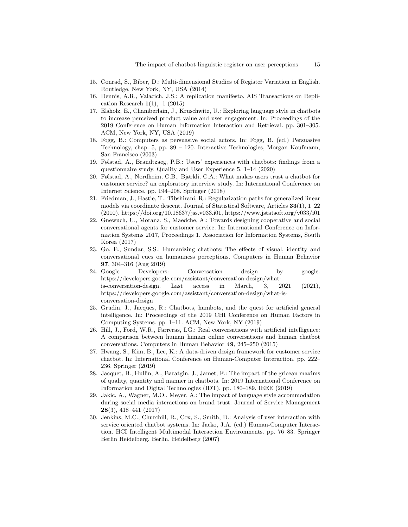- 15. Conrad, S., Biber, D.: Multi-dimensional Studies of Register Variation in English. Routledge, New York, NY, USA (2014)
- 16. Dennis, A.R., Valacich, J.S.: A replication manifesto. AIS Transactions on Replication Research  $1(1)$ ,  $1(2015)$
- 17. Elsholz, E., Chamberlain, J., Kruschwitz, U.: Exploring language style in chatbots to increase perceived product value and user engagement. In: Proceedings of the 2019 Conference on Human Information Interaction and Retrieval. pp. 301–305. ACM, New York, NY, USA (2019)
- 18. Fogg, B.: Computers as persuasive social actors. In: Fogg, B. (ed.) Persuasive Technology, chap. 5, pp. 89 – 120. Interactive Technologies, Morgan Kaufmann, San Francisco (2003)
- 19. Følstad, A., Brandtzaeg, P.B.: Users' experiences with chatbots: findings from a questionnaire study. Quality and User Experience 5, 1–14 (2020)
- 20. Følstad, A., Nordheim, C.B., Bjørkli, C.A.: What makes users trust a chatbot for customer service? an exploratory interview study. In: International Conference on Internet Science. pp. 194–208. Springer (2018)
- 21. Friedman, J., Hastie, T., Tibshirani, R.: Regularization paths for generalized linear models via coordinate descent. Journal of Statistical Software, Articles 33(1), 1–22 (2010). https://doi.org/10.18637/jss.v033.i01, https://www.jstatsoft.org/v033/i01
- 22. Gnewuch, U., Morana, S., Maedche, A.: Towards designing cooperative and social conversational agents for customer service. In: International Conference on Information Systems 2017, Proceedings 1. Association for Information Systems, South Korea (2017)
- 23. Go, E., Sundar, S.S.: Humanizing chatbots: The effects of visual, identity and conversational cues on humanness perceptions. Computers in Human Behavior 97, 304–316 (Aug 2019)
- 24. Google Developers: Conversation design by google. https://developers.google.com/assistant/conversation-design/whatis-conversation-design. Last access in March, 3, 2021 (2021), https://developers.google.com/assistant/conversation-design/what-isconversation-design
- 25. Grudin, J., Jacques, R.: Chatbots, humbots, and the quest for artificial general intelligence. In: Proceedings of the 2019 CHI Conference on Human Factors in Computing Systems. pp. 1–11. ACM, New York, NY (2019)
- 26. Hill, J., Ford, W.R., Farreras, I.G.: Real conversations with artificial intelligence: A comparison between human–human online conversations and human–chatbot conversations. Computers in Human Behavior 49, 245–250 (2015)
- 27. Hwang, S., Kim, B., Lee, K.: A data-driven design framework for customer service chatbot. In: International Conference on Human-Computer Interaction. pp. 222– 236. Springer (2019)
- 28. Jacquet, B., Hullin, A., Baratgin, J., Jamet, F.: The impact of the gricean maxims of quality, quantity and manner in chatbots. In: 2019 International Conference on Information and Digital Technologies (IDT). pp. 180–189. IEEE (2019)
- 29. Jakic, A., Wagner, M.O., Meyer, A.: The impact of language style accommodation during social media interactions on brand trust. Journal of Service Management 28(3), 418–441 (2017)
- 30. Jenkins, M.C., Churchill, R., Cox, S., Smith, D.: Analysis of user interaction with service oriented chatbot systems. In: Jacko, J.A. (ed.) Human-Computer Interaction. HCI Intelligent Multimodal Interaction Environments. pp. 76–83. Springer Berlin Heidelberg, Berlin, Heidelberg (2007)